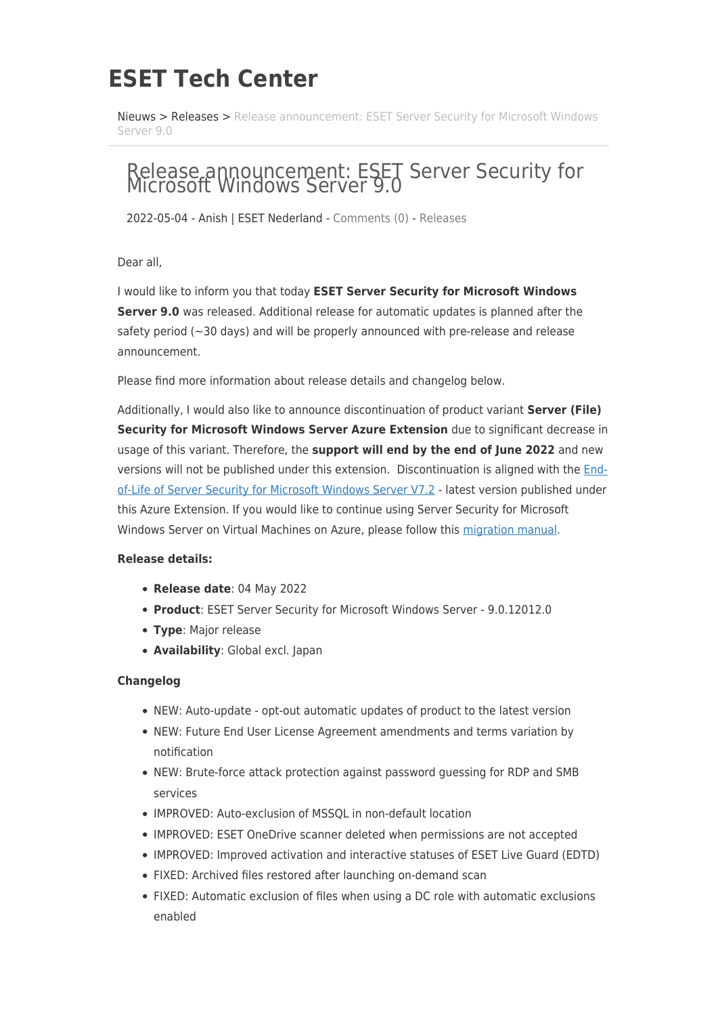## **ESET Tech Center**

[Nieuws](https://techcenter.eset.nl/nl/news) > [Releases](https://techcenter.eset.nl/nl/news/releases) > [Release announcement: ESET Server Security for Microsoft Windows](https://techcenter.eset.nl/nl/news/posts/release-announcement-eset-server-security-for-microsoft-windows-server-9-0) [Server 9.0](https://techcenter.eset.nl/nl/news/posts/release-announcement-eset-server-security-for-microsoft-windows-server-9-0)

## Release announcement: ESET Server Security for Microsoft Windows Server 9.0

2022-05-04 - Anish | ESET Nederland - [Comments \(0\)](#page--1-0) - [Releases](https://techcenter.eset.nl/nl/news/releases)

Dear all,

I would like to inform you that today **ESET Server Security for Microsoft Windows Server 9.0** was released. Additional release for automatic updates is planned after the safety period (~30 days) and will be properly announced with pre-release and release announcement.

Please find more information about release details and changelog below.

Additionally, I would also like to announce discontinuation of product variant **Server (File) Security for Microsoft Windows Server Azure Extension** due to significant decrease in usage of this variant. Therefore, the **support will end by the end of June 2022** and new versions will not be published under this extension. Discontinuation is aligned with the [End](https://support.eset.com/en/kb3592-is-my-eset-product-supported-eset-end-of-life-policy-business-products#serverproducts)[of-Life of Server Security for Microsoft Windows Server V7.2](https://support.eset.com/en/kb3592-is-my-eset-product-supported-eset-end-of-life-policy-business-products#serverproducts) - latest version published under this Azure Extension. If you would like to continue using Server Security for Microsoft Windows Server on Virtual Machines on Azure, please follow this [migration manual](https://support.eset.com/en/kb3748-upgrade-eset-file-security-for-microsoft-azure-to-the-latest-version-of-eset-server-security-for-microsoft-windows-server).

## **Release details:**

- **Release date**: 04 May 2022
- **Product**: ESET Server Security for Microsoft Windows Server 9.0.12012.0
- **Type**: Major release
- **Availability**: Global excl. Japan

## **Changelog**

- NEW: Auto-update opt-out automatic updates of product to the latest version
- NEW: Future End User License Agreement amendments and terms variation by notification
- NEW: Brute-force attack protection against password guessing for RDP and SMB services
- IMPROVED: Auto-exclusion of MSSQL in non-default location
- IMPROVED: ESET OneDrive scanner deleted when permissions are not accepted
- IMPROVED: Improved activation and interactive statuses of ESET Live Guard (EDTD)
- FIXED: Archived files restored after launching on-demand scan
- FIXED: Automatic exclusion of files when using a DC role with automatic exclusions enabled